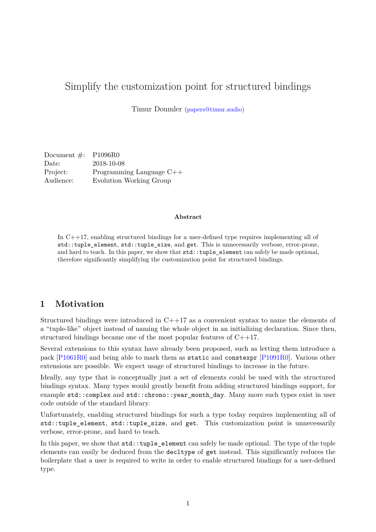# Simplify the customization point for structured bindings

Timur Doumler [\(papers@timur.audio\)](mailto:papers@timur.audio)

| Document $\#$ : P1096R0 |                            |
|-------------------------|----------------------------|
| Date:                   | 2018-10-08                 |
| Project:                | Programming Language $C++$ |
| Audience:               | Evolution Working Group    |

#### **Abstract**

In C++17, enabling structured bindings for a user-defined type requires implementing all of std::tuple\_element, std::tuple\_size, and get. This is unnecessarily verbose, error-prone, and hard to teach. In this paper, we show that  $\text{std}$ : : tuple\_element can safely be made optional, therefore significantly simplifying the customization point for structured bindings.

### **1 Motivation**

Structured bindings were introduced in C++17 as a convenient syntax to name the elements of a "tuple-like" object instead of naming the whole object in an initializing declaration. Since then, structured bindings became one of the most popular features of C++17.

Several extensions to this syntax have already been proposed, such as letting them introduce a pack [\[P1061R0\]](#page-2-0) and being able to mark them as static and constexpr [\[P1091R0\]](#page-2-1). Various other extensions are possible. We expect usage of structured bindings to increase in the future.

Ideally, any type that is conceptually just a set of elements could be used with the structured bindings syntax. Many types would greatly benefit from adding structured bindings support, for example std::complex and std::chrono::year\_month\_day. Many more such types exist in user code outside of the standard library.

Unfortunately, enabling structured bindings for such a type today requires implementing all of std::tuple element, std::tuple size, and get. This customization point is unnecessarily verbose, error-prone, and hard to teach.

In this paper, we show that  $std::tuple$  element can safely be made optional. The type of the tuple elements can easily be deduced from the decltype of get instead. This significantly reduces the boilerplate that a user is required to write in order to enable structured bindings for a user-defined type.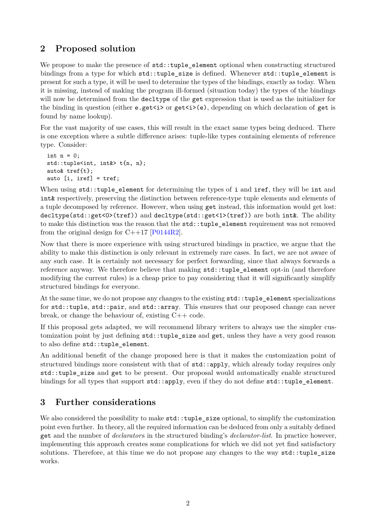# **2 Proposed solution**

We propose to make the presence of  $\text{std}:\text{tuple\_element}$  optional when constructing structured bindings from a type for which std::tuple size is defined. Whenever std::tuple element is present for such a type, it will be used to determine the types of the bindings, exactly as today. When it is missing, instead of making the program ill-formed (situation today) the types of the bindings will now be determined from the decltype of the get expression that is used as the initializer for the binding in question (either e.get<i> or get<i>(e), depending on which declaration of get is found by name lookup).

For the vast majority of use cases, this will result in the exact same types being deduced. There is one exception where a subtle difference arises: tuple-like types containing elements of reference type. Consider:

```
int n = 0;
std::tuple<int, int&> t{n, n};
auto& tref{t};
auto [i, iref] = tref;
```
When using std::tuple\_element for determining the types of i and iref, they will be int and int& respectively, preserving the distinction between reference-type tuple elements and elements of a tuple decomposed by reference. However, when using get instead, this information would get lost: decltype(std::get<0>(tref)) and decltype(std::get<1>(tref)) are both int&. The ability to make this distinction was the reason that the std:: tuple\_element requirement was not removed from the original design for  $C++17$  [\[P0144R2\]](#page-2-2).

Now that there is more experience with using structured bindings in practice, we argue that the ability to make this distinction is only relevant in extremely rare cases. In fact, we are not aware of any such case. It is certainly not necessary for perfect forwarding, since that always forwards a reference anyway. We therefore believe that making std::tuple\_element opt-in (and therefore modifying the current rules) is a cheap price to pay considering that it will significantly simplify structured bindings for everyone.

At the same time, we do not propose any changes to the existing  $std:$ : tuple element specializations for std::tuple, std::pair, and std::array. This ensures that our proposed change can never break, or change the behaviour of, existing  $C_{++}$  code.

If this proposal gets adapted, we will recommend library writers to always use the simpler customization point by just defining  $std::tuple$  size and get, unless they have a very good reason to also define std::tuple\_element.

An additional benefit of the change proposed here is that it makes the customization point of structured bindings more consistent with that of std::apply, which already today requires only std::tuple size and get to be present. Our proposal would automatically enable structured bindings for all types that support  $\text{std}$ ::apply, even if they do not define  $\text{std}$ :: $\text{tuple\_element.}$ 

# **3 Further considerations**

We also considered the possibility to make  $\texttt{std::tuple}$  size optional, to simplify the customization point even further. In theory, all the required information can be deduced from only a suitably defined get and the number of *declarator*s in the structured binding's *declarator-list*. In practice however, implementing this approach creates some complications for which we did not yet find satisfactory solutions. Therefore, at this time we do not propose any changes to the way std::tuple\_size works.